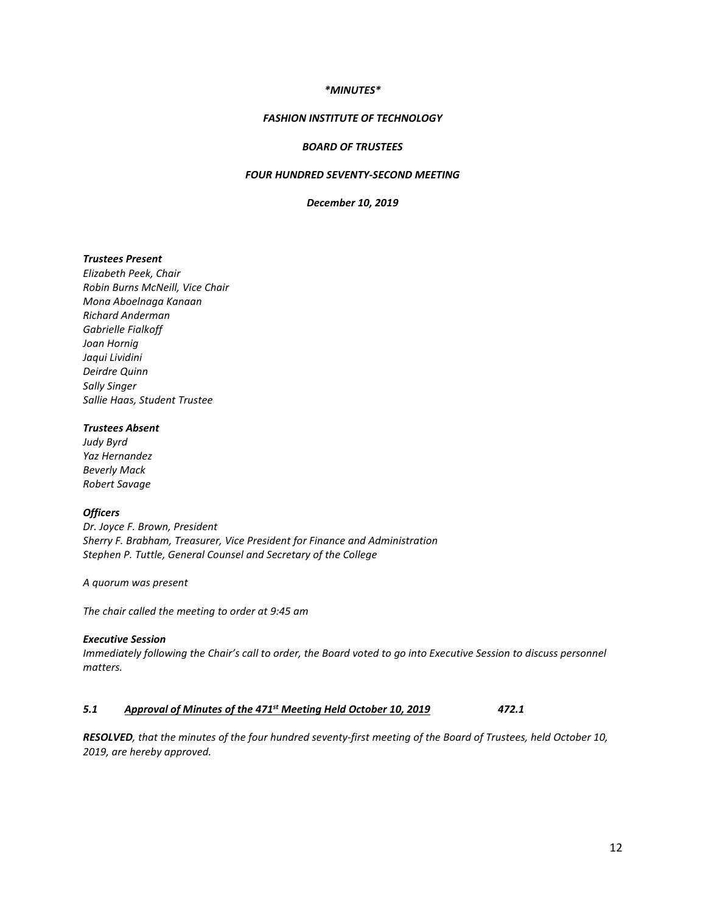#### *\*MINUTES\**

# *FASHION INSTITUTE OF TECHNOLOGY*

#### *BOARD OF TRUSTEES*

# *FOUR HUNDRED SEVENTY-SECOND MEETING*

## *December 10, 2019*

#### *Trustees Present*

*Elizabeth Peek, Chair Robin Burns McNeill, Vice Chair Mona Aboelnaga Kanaan Richard Anderman Gabrielle Fialkoff Joan Hornig Jaqui Lividini Deirdre Quinn Sally Singer Sallie Haas, Student Trustee*

# *Trustees Absent*

*Judy Byrd Yaz Hernandez Beverly Mack Robert Savage*

#### *Officers*

*Dr. Joyce F. Brown, President Sherry F. Brabham, Treasurer, Vice President for Finance and Administration Stephen P. Tuttle, General Counsel and Secretary of the College*

*A quorum was present*

*The chair called the meeting to order at 9:45 am*

#### *Executive Session*

*Immediately following the Chair's call to order, the Board voted to go into Executive Session to discuss personnel matters.*

# *5.1 Approval of Minutes of the 471st Meeting Held October 10, 2019 472.1*

*RESOLVED, that the minutes of the four hundred seventy-first meeting of the Board of Trustees, held October 10, 2019, are hereby approved.*